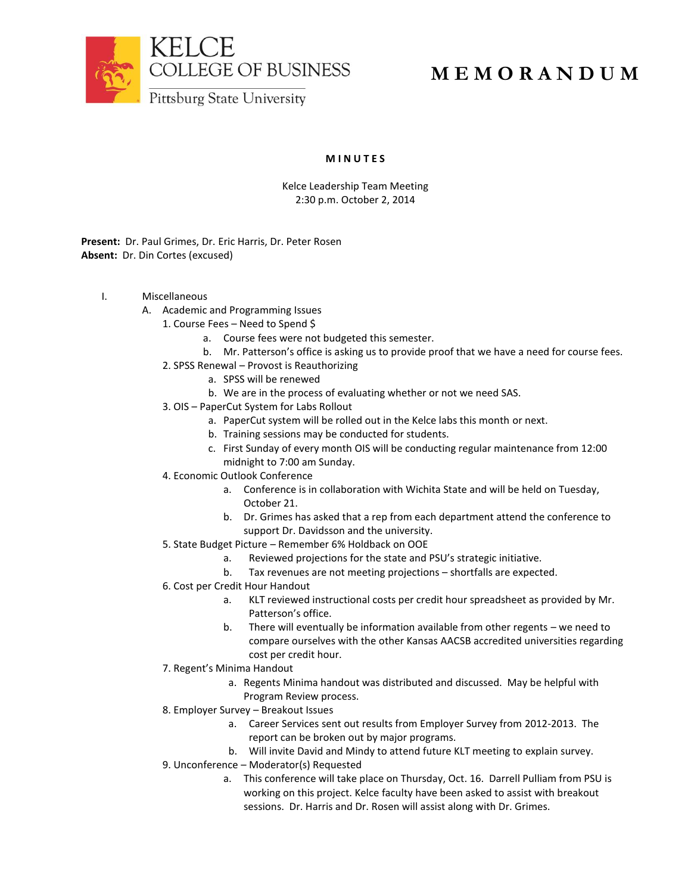

## **M E M O R A N D U M**

## **M I N U T E S**

Kelce Leadership Team Meeting 2:30 p.m. October 2, 2014

**Present:** Dr. Paul Grimes, Dr. Eric Harris, Dr. Peter Rosen **Absent:** Dr. Din Cortes (excused)

- I. Miscellaneous
	- A. Academic and Programming Issues
		- 1. Course Fees Need to Spend \$
			- a. Course fees were not budgeted this semester.
			- b. Mr. Patterson's office is asking us to provide proof that we have a need for course fees.
		- 2. SPSS Renewal Provost is Reauthorizing
			- a. SPSS will be renewed
			- b. We are in the process of evaluating whether or not we need SAS.
		- 3. OIS PaperCut System for Labs Rollout
			- a. PaperCut system will be rolled out in the Kelce labs this month or next.
			- b. Training sessions may be conducted for students.
			- c. First Sunday of every month OIS will be conducting regular maintenance from 12:00 midnight to 7:00 am Sunday.
		- 4. Economic Outlook Conference
			- a. Conference is in collaboration with Wichita State and will be held on Tuesday, October 21.
			- b. Dr. Grimes has asked that a rep from each department attend the conference to support Dr. Davidsson and the university.
		- 5. State Budget Picture Remember 6% Holdback on OOE
			- a. Reviewed projections for the state and PSU's strategic initiative.
			- b. Tax revenues are not meeting projections shortfalls are expected.
		- 6. Cost per Credit Hour Handout
			- a. KLT reviewed instructional costs per credit hour spreadsheet as provided by Mr. Patterson's office.
			- b. There will eventually be information available from other regents we need to compare ourselves with the other Kansas AACSB accredited universities regarding cost per credit hour.
		- 7. Regent's Minima Handout
			- a. Regents Minima handout was distributed and discussed. May be helpful with Program Review process.
		- 8. Employer Survey Breakout Issues
			- a. Career Services sent out results from Employer Survey from 2012-2013. The report can be broken out by major programs.
			- b. Will invite David and Mindy to attend future KLT meeting to explain survey.
		- 9. Unconference Moderator(s) Requested
			- a. This conference will take place on Thursday, Oct. 16. Darrell Pulliam from PSU is working on this project. Kelce faculty have been asked to assist with breakout sessions. Dr. Harris and Dr. Rosen will assist along with Dr. Grimes.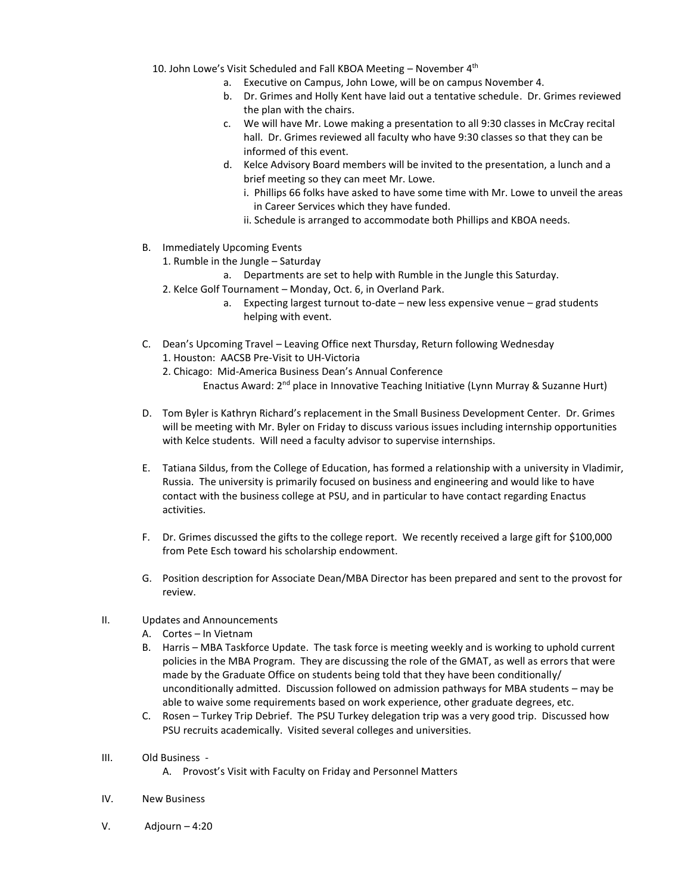10. John Lowe's Visit Scheduled and Fall KBOA Meeting  $-$  November  $4<sup>th</sup>$ 

- a. Executive on Campus, John Lowe, will be on campus November 4.
- b. Dr. Grimes and Holly Kent have laid out a tentative schedule. Dr. Grimes reviewed the plan with the chairs.
- c. We will have Mr. Lowe making a presentation to all 9:30 classes in McCray recital hall. Dr. Grimes reviewed all faculty who have 9:30 classes so that they can be informed of this event.
- d. Kelce Advisory Board members will be invited to the presentation, a lunch and a brief meeting so they can meet Mr. Lowe.
	- i. Phillips 66 folks have asked to have some time with Mr. Lowe to unveil the areas in Career Services which they have funded.
	- ii. Schedule is arranged to accommodate both Phillips and KBOA needs.
- B. Immediately Upcoming Events
	- 1. Rumble in the Jungle Saturday
		- a. Departments are set to help with Rumble in the Jungle this Saturday.
	- 2. Kelce Golf Tournament Monday, Oct. 6, in Overland Park.
		- a. Expecting largest turnout to-date new less expensive venue grad students helping with event.
- C. Dean's Upcoming Travel Leaving Office next Thursday, Return following Wednesday 1. Houston: AACSB Pre-Visit to UH-Victoria
	- 2. Chicago: Mid-America Business Dean's Annual Conference Enactus Award: 2nd place in Innovative Teaching Initiative (Lynn Murray & Suzanne Hurt)
- D. Tom Byler is Kathryn Richard's replacement in the Small Business Development Center. Dr. Grimes will be meeting with Mr. Byler on Friday to discuss various issues including internship opportunities with Kelce students. Will need a faculty advisor to supervise internships.
- E. Tatiana Sildus, from the College of Education, has formed a relationship with a university in Vladimir, Russia. The university is primarily focused on business and engineering and would like to have contact with the business college at PSU, and in particular to have contact regarding Enactus activities.
- F. Dr. Grimes discussed the gifts to the college report. We recently received a large gift for \$100,000 from Pete Esch toward his scholarship endowment.
- G. Position description for Associate Dean/MBA Director has been prepared and sent to the provost for review.
- II. Updates and Announcements
	- A. Cortes In Vietnam
	- B. Harris MBA Taskforce Update. The task force is meeting weekly and is working to uphold current policies in the MBA Program. They are discussing the role of the GMAT, as well as errors that were made by the Graduate Office on students being told that they have been conditionally/ unconditionally admitted. Discussion followed on admission pathways for MBA students – may be able to waive some requirements based on work experience, other graduate degrees, etc.
	- C. Rosen Turkey Trip Debrief. The PSU Turkey delegation trip was a very good trip. Discussed how PSU recruits academically. Visited several colleges and universities.
- III. Old Business
	- A. Provost's Visit with Faculty on Friday and Personnel Matters
- IV. New Business
- V. Adjourn 4:20